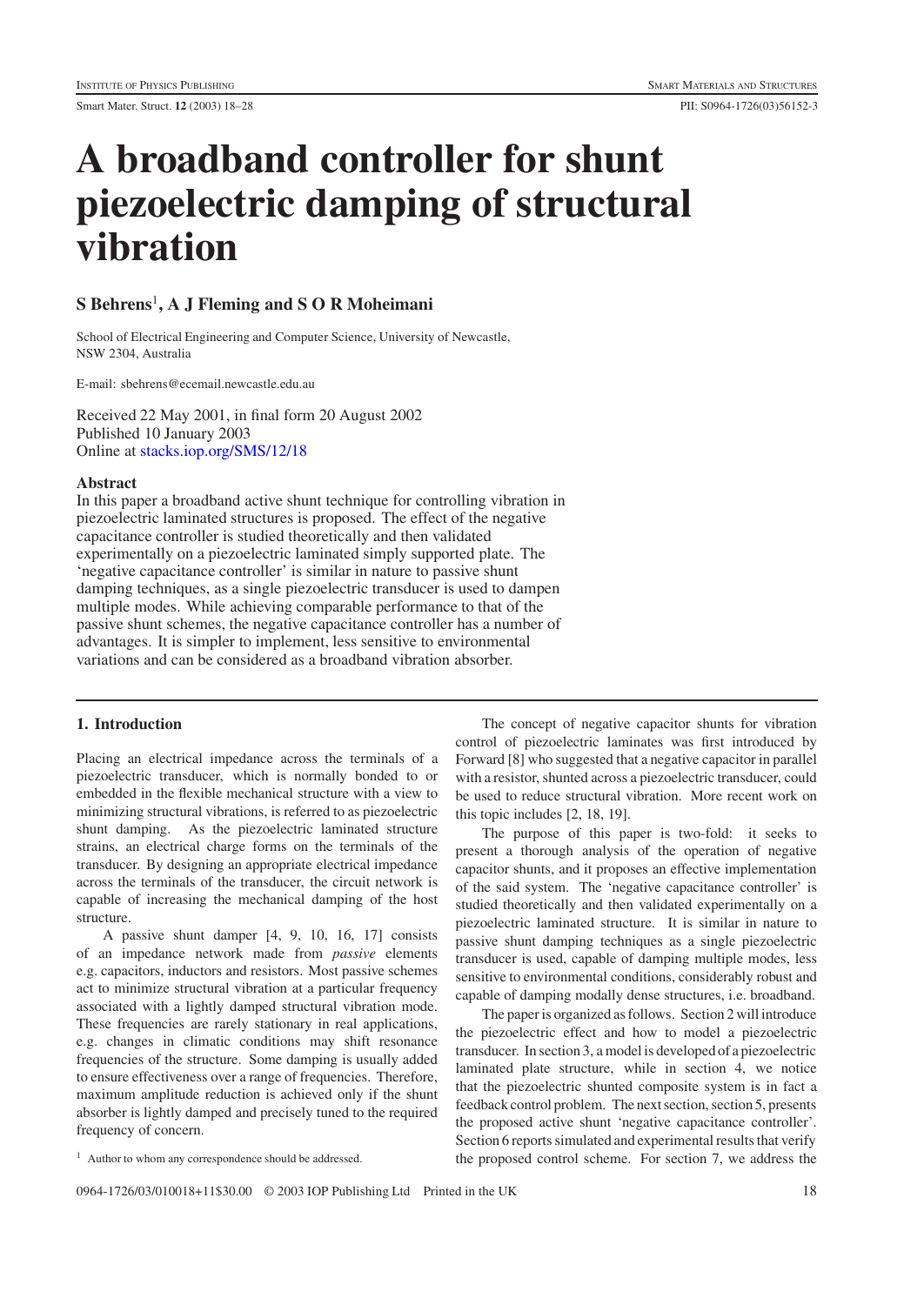# **A broadband controller for shunt piezoelectric damping of structural vibration**

## **S Behrens**<sup>1</sup>**, A J Fleming and S O R Moheimani**

School of Electrical Engineering and Computer Science, University of Newcastle, NSW 2304, Australia

E-mail: sbehrens@ecemail.newcastle.edu.au

Received 22 May 2001, in final form 20 August 2002 Published 10 January 2003 Online at [stacks.iop.org/SMS/12/18](http://stacks.iop.org/SMS/12/18)

## **Abstract**

In this paper a broadband active shunt technique for controlling vibration in piezoelectric laminated structures is proposed. The effect of the negative capacitance controller is studied theoretically and then validated experimentally on a piezoelectric laminated simply supported plate. The 'negative capacitance controller' is similar in nature to passive shunt damping techniques, as a single piezoelectric transducer is used to dampen multiple modes. While achieving comparable performance to that of the passive shunt schemes, the negative capacitance controller has a number of advantages. It is simpler to implement, less sensitive to environmental variations and can be considered as a broadband vibration absorber.

## **1. Introduction**

Placing an electrical impedance across the terminals of a piezoelectric transducer, which is normally bonded to or embedded in the flexible mechanical structure with a view to minimizing structural vibrations, is referred to as piezoelectric shunt damping. As the piezoelectric laminated structure strains, an electrical charge forms on the terminals of the transducer. By designing an appropriate electrical impedance across the terminals of the transducer, the circuit network is capable of increasing the mechanical damping of the host structure.

A passive shunt damper [4, 9, 10, 16, 17] consists of an impedance network made from *passive* elements e.g. capacitors, inductors and resistors. Most passive schemes act to minimize structural vibration at a particular frequency associated with a lightly damped structural vibration mode. These frequencies are rarely stationary in real applications, e.g. changes in climatic conditions may shift resonance frequencies of the structure. Some damping is usually added to ensure effectiveness over a range of frequencies. Therefore, maximum amplitude reduction is achieved only if the shunt absorber is lightly damped and precisely tuned to the required frequency of concern.

The concept of negative capacitor shunts for vibration control of piezoelectric laminates was first introduced by Forward [8] who suggested that a negative capacitor in parallel with a resistor, shunted across a piezoelectric transducer, could be used to reduce structural vibration. More recent work on this topic includes [2, 18, 19].

The purpose of this paper is two-fold: it seeks to present a thorough analysis of the operation of negative capacitor shunts, and it proposes an effective implementation of the said system. The 'negative capacitance controller' is studied theoretically and then validated experimentally on a piezoelectric laminated structure. It is similar in nature to passive shunt damping techniques as a single piezoelectric transducer is used, capable of damping multiple modes, less sensitive to environmental conditions, considerably robust and capable of damping modally dense structures, i.e. broadband.

The paper is organized as follows. Section 2 will introduce the piezoelectric effect and how to model a piezoelectric transducer. In section 3, a model is developed of a piezoelectric laminated plate structure, while in section 4, we notice that the piezoelectric shunted composite system is in fact a feedback control problem. The next section, section 5, presents the proposed active shunt 'negative capacitance controller'. Section 6 reports simulated and experimental results that verify the proposed control scheme. For section 7, we address the

<sup>&</sup>lt;sup>1</sup> Author to whom any correspondence should be addressed.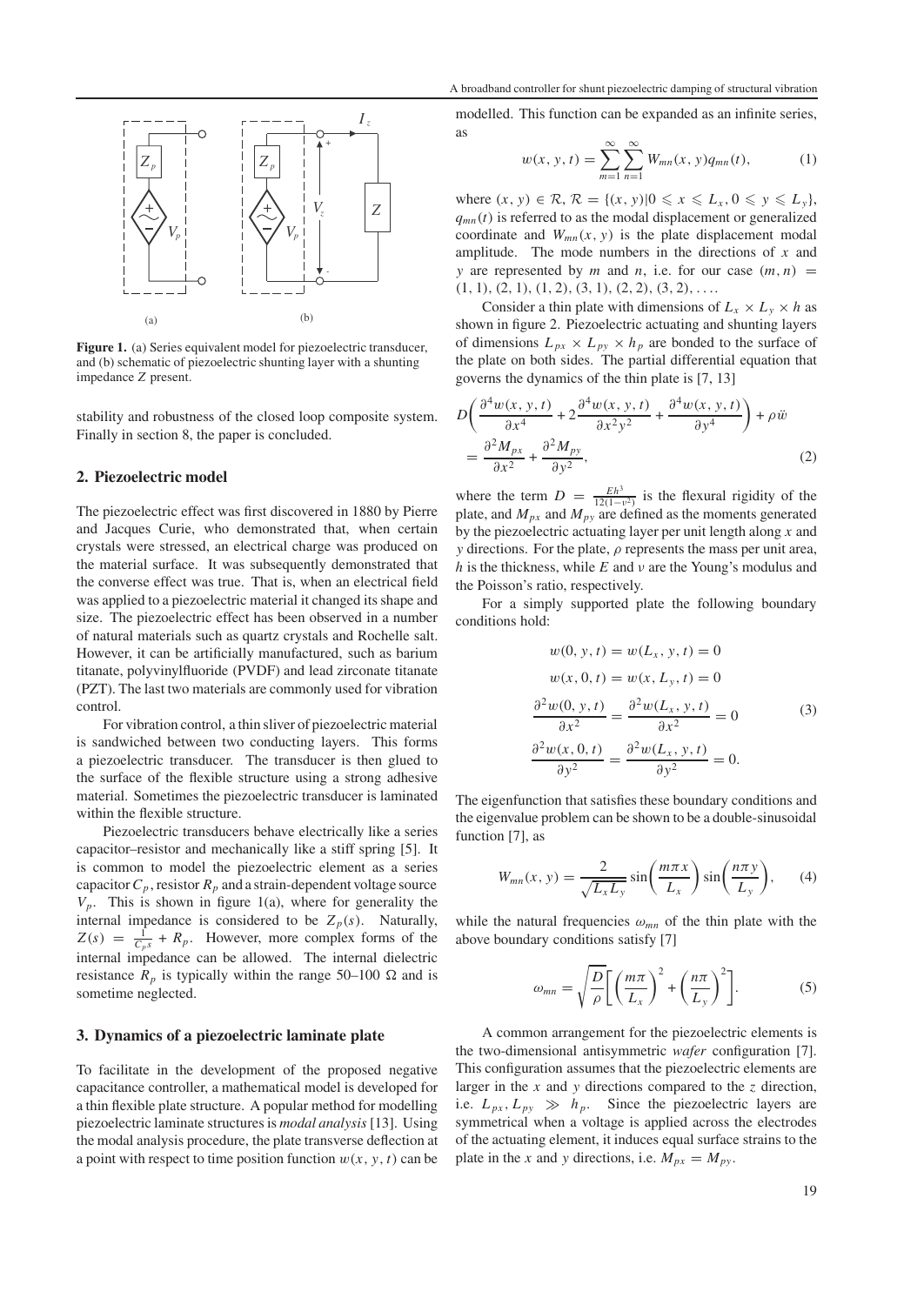

**Figure 1.** (a) Series equivalent model for piezoelectric transducer, and (b) schematic of piezoelectric shunting layer with a shunting impedance *Z* present.

stability and robustness of the closed loop composite system. Finally in section 8, the paper is concluded.

#### **2. Piezoelectric model**

The piezoelectric effect was first discovered in 1880 by Pierre and Jacques Curie, who demonstrated that, when certain crystals were stressed, an electrical charge was produced on the material surface. It was subsequently demonstrated that the converse effect was true. That is, when an electrical field was applied to a piezoelectric material it changed its shape and size. The piezoelectric effect has been observed in a number of natural materials such as quartz crystals and Rochelle salt. However, it can be artificially manufactured, such as barium titanate, polyvinylfluoride (PVDF) and lead zirconate titanate (PZT). The last two materials are commonly used for vibration control.

For vibration control, a thin sliver of piezoelectric material is sandwiched between two conducting layers. This forms a piezoelectric transducer. The transducer is then glued to the surface of the flexible structure using a strong adhesive material. Sometimes the piezoelectric transducer is laminated within the flexible structure.

Piezoelectric transducers behave electrically like a series capacitor–resistor and mechanically like a stiff spring [5]. It is common to model the piezoelectric element as a series capacitor  $C_p$ , resistor  $R_p$  and a strain-dependent voltage source  $V_p$ . This is shown in figure 1(a), where for generality the internal impedance is considered to be  $Z_p(s)$ . Naturally,  $Z(s) = \frac{1}{C_p s} + R_p$ . However, more complex forms of the internal impedance can be allowed. The internal dielectric resistance  $R_p$  is typically within the range 50–100  $\Omega$  and is sometime neglected.

## **3. Dynamics of a piezoelectric laminate plate**

To facilitate in the development of the proposed negative capacitance controller, a mathematical model is developed for a thin flexible plate structure. A popular method for modelling piezoelectric laminate structures is *modal analysis* [13]. Using the modal analysis procedure, the plate transverse deflection at a point with respect to time position function  $w(x, y, t)$  can be

modelled. This function can be expanded as an infinite series, as

$$
w(x, y, t) = \sum_{m=1}^{\infty} \sum_{n=1}^{\infty} W_{mn}(x, y) q_{mn}(t),
$$
 (1)

where  $(x, y) \in \mathcal{R}, \mathcal{R} = \{(x, y) | 0 \leq x \leq L_x, 0 \leq y \leq L_y\},\$  $q_{mn}(t)$  is referred to as the modal displacement or generalized coordinate and  $W_{mn}(x, y)$  is the plate displacement modal amplitude. The mode numbers in the directions of *x* and *y* are represented by *m* and *n*, i.e. for our case  $(m, n)$  =  $(1, 1), (2, 1), (1, 2), (3, 1), (2, 2), (3, 2), \ldots$ 

Consider a thin plate with dimensions of  $L_x \times L_y \times h$  as shown in figure 2. Piezoelectric actuating and shunting layers of dimensions  $L_{px} \times L_{py} \times h_p$  are bonded to the surface of the plate on both sides. The partial differential equation that governs the dynamics of the thin plate is [7, 13]

$$
D\left(\frac{\partial^4 w(x, y, t)}{\partial x^4} + 2\frac{\partial^4 w(x, y, t)}{\partial x^2 y^2} + \frac{\partial^4 w(x, y, t)}{\partial y^4}\right) + \rho \ddot{w}
$$
  
= 
$$
\frac{\partial^2 M_{px}}{\partial x^2} + \frac{\partial^2 M_{py}}{\partial y^2},
$$
 (2)

where the term  $D = \frac{Eh^3}{12(1-v^2)}$  is the flexural rigidity of the plate, and  $M_{px}$  and  $M_{py}$  are defined as the moments generated by the piezoelectric actuating layer per unit length along *x* and *y* directions. For the plate,  $\rho$  represents the mass per unit area, *h* is the thickness, while *E* and ν are the Young's modulus and the Poisson's ratio, respectively.

For a simply supported plate the following boundary conditions hold:

$$
w(0, y, t) = w(L_x, y, t) = 0
$$
  
\n
$$
w(x, 0, t) = w(x, L_y, t) = 0
$$
  
\n
$$
\frac{\partial^2 w(0, y, t)}{\partial x^2} = \frac{\partial^2 w(L_x, y, t)}{\partial x^2} = 0
$$
  
\n
$$
\frac{\partial^2 w(x, 0, t)}{\partial y^2} = \frac{\partial^2 w(L_x, y, t)}{\partial y^2} = 0.
$$
\n(3)

The eigenfunction that satisfies these boundary conditions and the eigenvalue problem can be shown to be a double-sinusoidal function [7], as

$$
W_{mn}(x, y) = \frac{2}{\sqrt{L_x L_y}} \sin\left(\frac{m\pi x}{L_x}\right) \sin\left(\frac{n\pi y}{L_y}\right), \quad (4)
$$

while the natural frequencies  $\omega_{mn}$  of the thin plate with the above boundary conditions satisfy [7]

$$
\omega_{mn} = \sqrt{\frac{D}{\rho}} \left[ \left( \frac{m\pi}{L_x} \right)^2 + \left( \frac{n\pi}{L_y} \right)^2 \right].
$$
 (5)

A common arrangement for the piezoelectric elements is the two-dimensional antisymmetric *wafer* configuration [7]. This configuration assumes that the piezoelectric elements are larger in the *x* and *y* directions compared to the *z* direction, i.e.  $L_{px}$ ,  $L_{py} \gg h_p$ . Since the piezoelectric layers are symmetrical when a voltage is applied across the electrodes of the actuating element, it induces equal surface strains to the plate in the *x* and *y* directions, i.e.  $M_{px} = M_{py}$ .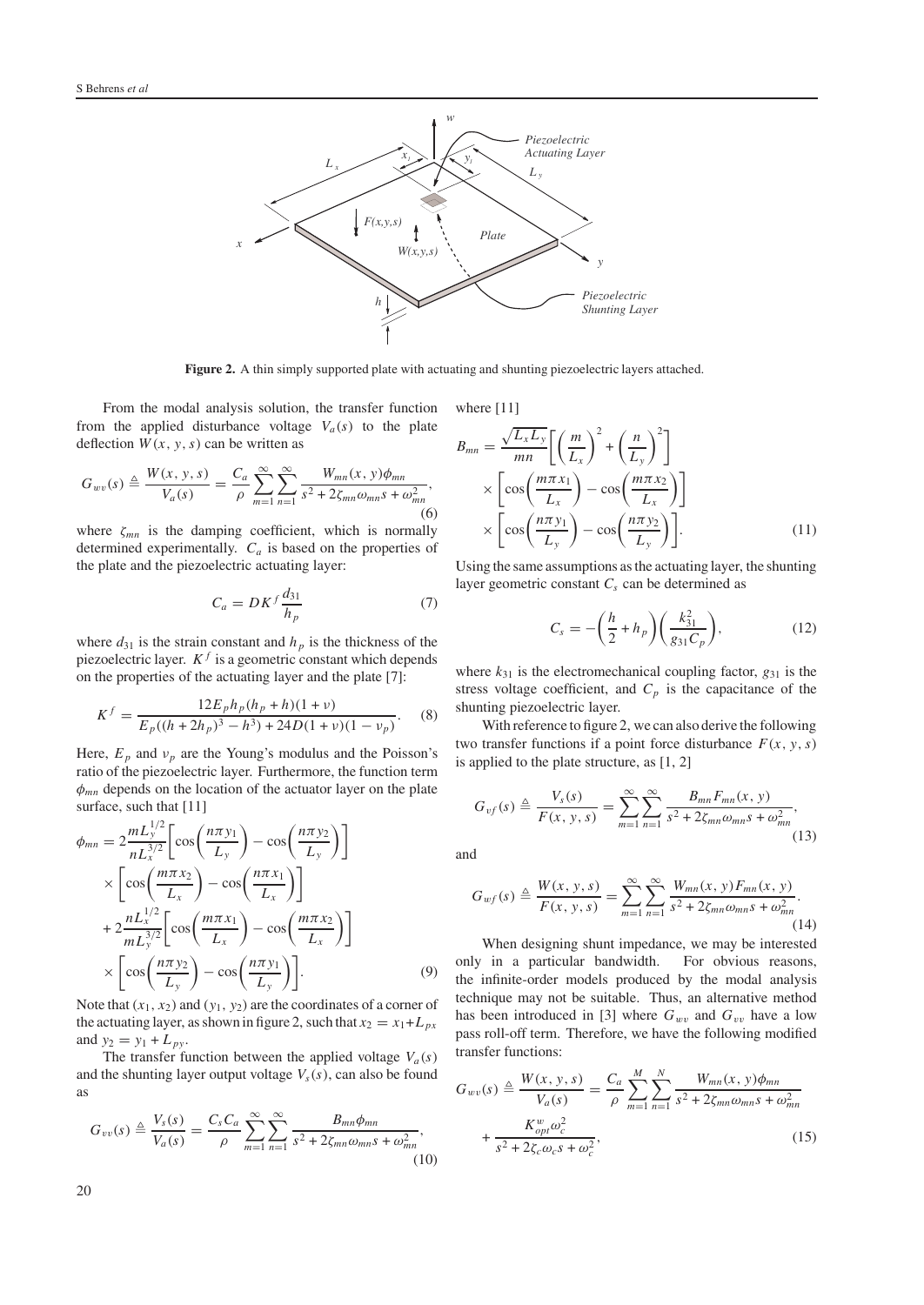

**Figure 2.** A thin simply supported plate with actuating and shunting piezoelectric layers attached.

From the modal analysis solution, the transfer function from the applied disturbance voltage  $V_a(s)$  to the plate deflection  $W(x, y, s)$  can be written as

$$
G_{wv}(s) \triangleq \frac{W(x, y, s)}{V_a(s)} = \frac{C_a}{\rho} \sum_{m=1}^{\infty} \sum_{n=1}^{\infty} \frac{W_{mn}(x, y)\phi_{mn}}{s^2 + 2\zeta_{mn}\omega_{mn}s + \omega_{mn}^2},
$$
(6)

where ζ*mn* is the damping coefficient, which is normally determined experimentally.  $C_a$  is based on the properties of the plate and the piezoelectric actuating layer:

$$
C_a = D K^f \frac{d_{31}}{h_p} \tag{7}
$$

where  $d_{31}$  is the strain constant and  $h_p$  is the thickness of the piezoelectric layer.  $K<sup>f</sup>$  is a geometric constant which depends on the properties of the actuating layer and the plate [7]:

$$
K^{f} = \frac{12E_{p}h_{p}(h_{p} + h)(1 + \nu)}{E_{p}((h + 2h_{p})^{3} - h^{3}) + 24D(1 + \nu)(1 - \nu_{p})}.
$$
 (8)

Here,  $E_p$  and  $v_p$  are the Young's modulus and the Poisson's ratio of the piezoelectric layer. Furthermore, the function term φ*mn* depends on the location of the actuator layer on the plate surface, such that [11]

$$
\phi_{mn} = 2 \frac{m L_y^{1/2}}{n L_x^{3/2}} \left[ \cos \left( \frac{n \pi y_1}{L_y} \right) - \cos \left( \frac{n \pi y_2}{L_y} \right) \right]
$$
  
\n
$$
\times \left[ \cos \left( \frac{m \pi x_2}{L_x} \right) - \cos \left( \frac{n \pi x_1}{L_x} \right) \right]
$$
  
\n
$$
+ 2 \frac{n L_x^{1/2}}{m L_y^{3/2}} \left[ \cos \left( \frac{m \pi x_1}{L_x} \right) - \cos \left( \frac{m \pi x_2}{L_x} \right) \right]
$$
  
\n
$$
\times \left[ \cos \left( \frac{n \pi y_2}{L_y} \right) - \cos \left( \frac{n \pi y_1}{L_y} \right) \right].
$$
 (9)

Note that  $(x_1, x_2)$  and  $(y_1, y_2)$  are the coordinates of a corner of the actuating layer, as shown in figure 2, such that  $x_2 = x_1 + L_{px}$ and  $y_2 = y_1 + L_{py}$ .

The transfer function between the applied voltage  $V_a(s)$ and the shunting layer output voltage  $V_s(s)$ , can also be found as

$$
G_{vv}(s) \triangleq \frac{V_s(s)}{V_a(s)} = \frac{C_s C_a}{\rho} \sum_{m=1}^{\infty} \sum_{n=1}^{\infty} \frac{B_{mn} \phi_{mn}}{s^2 + 2\zeta_{mn}\omega_{mn}s + \omega_{mn}^2},\tag{10}
$$

where [11]

$$
B_{mn} = \frac{\sqrt{L_x L_y}}{mn} \left[ \left( \frac{m}{L_x} \right)^2 + \left( \frac{n}{L_y} \right)^2 \right]
$$
  
 
$$
\times \left[ \cos \left( \frac{m \pi x_1}{L_x} \right) - \cos \left( \frac{m \pi x_2}{L_x} \right) \right]
$$
  
 
$$
\times \left[ \cos \left( \frac{n \pi y_1}{L_y} \right) - \cos \left( \frac{n \pi y_2}{L_y} \right) \right].
$$
 (11)

Using the same assumptions as the actuating layer, the shunting layer geometric constant  $C_s$  can be determined as

$$
C_s = -\left(\frac{h}{2} + h_p\right) \left(\frac{k_{31}^2}{g_{31}C_p}\right),\tag{12}
$$

where  $k_{31}$  is the electromechanical coupling factor,  $g_{31}$  is the stress voltage coefficient, and  $C_p$  is the capacitance of the shunting piezoelectric layer.

With reference to figure 2, we can also derive the following two transfer functions if a point force disturbance  $F(x, y, s)$ is applied to the plate structure, as [1, 2]

$$
G_{vf}(s) \triangleq \frac{V_s(s)}{F(x, y, s)} = \sum_{m=1}^{\infty} \sum_{n=1}^{\infty} \frac{B_{mn} F_{mn}(x, y)}{s^2 + 2\zeta_{mn}\omega_{mn}s + \omega_{mn}^2},
$$
\n(13)

and

$$
G_{wf}(s) \triangleq \frac{W(x, y, s)}{F(x, y, s)} = \sum_{m=1}^{\infty} \sum_{n=1}^{\infty} \frac{W_{mn}(x, y) F_{mn}(x, y)}{s^2 + 2\zeta_{mn}\omega_{mn}s + \omega_{mn}^2}.
$$
\n(14)

When designing shunt impedance, we may be interested only in a particular bandwidth. For obvious reasons, the infinite-order models produced by the modal analysis technique may not be suitable. Thus, an alternative method has been introduced in [3] where  $G_{wv}$  and  $G_{vv}$  have a low pass roll-off term. Therefore, we have the following modified transfer functions:

$$
G_{wv}(s) \triangleq \frac{W(x, y, s)}{V_a(s)} = \frac{C_a}{\rho} \sum_{m=1}^{M} \sum_{n=1}^{N} \frac{W_{mn}(x, y)\phi_{mn}}{s^2 + 2\zeta_{mn}\omega_{mn}s + \omega_{mn}^2} + \frac{K_{opt}^w \omega_c^2}{s^2 + 2\zeta_c \omega_c s + \omega_c^2},
$$
(15)

20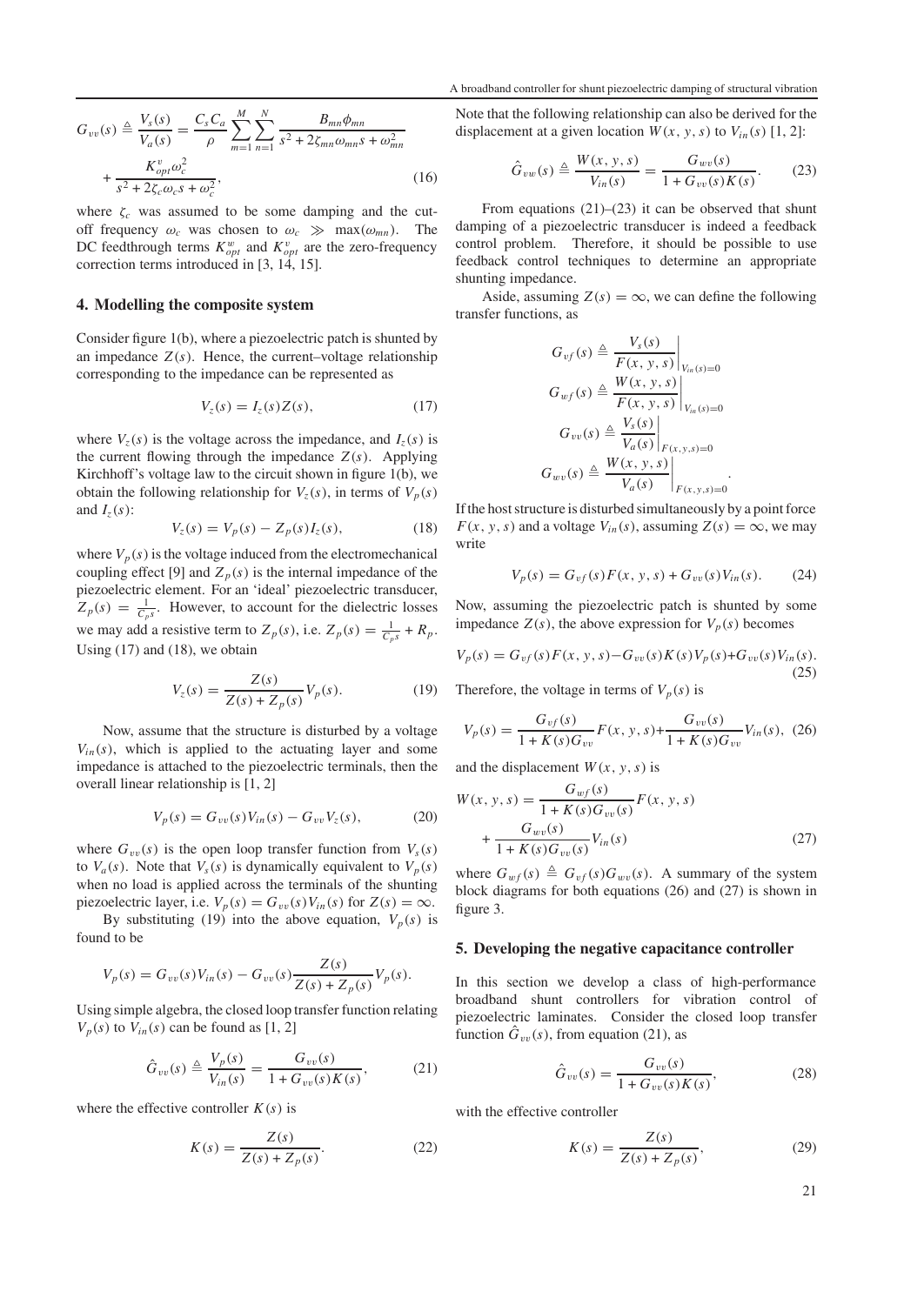$$
G_{vv}(s) \triangleq \frac{V_s(s)}{V_a(s)} = \frac{C_s C_a}{\rho} \sum_{m=1}^{M} \sum_{n=1}^{N} \frac{B_{mn} \phi_{mn}}{s^2 + 2\zeta_{mn} \omega_{mn}s + \omega_{mn}^2} + \frac{K_{opt}^v \omega_c^2}{s^2 + 2\zeta_c \omega_c s + \omega_c^2},
$$
(16)

where  $\zeta_c$  was assumed to be some damping and the cutoff frequency  $\omega_c$  was chosen to  $\omega_c \gg \max(\omega_{mn})$ . The DC feedthrough terms  $K_{opt}^w$  and  $K_{opt}^v$  are the zero-frequency correction terms introduced in [3, 14, 15].

### **4. Modelling the composite system**

Consider figure 1(b), where a piezoelectric patch is shunted by an impedance  $Z(s)$ . Hence, the current–voltage relationship corresponding to the impedance can be represented as

$$
V_z(s) = I_z(s)Z(s),\tag{17}
$$

where  $V_z(s)$  is the voltage across the impedance, and  $I_z(s)$  is the current flowing through the impedance  $Z(s)$ . Applying Kirchhoff's voltage law to the circuit shown in figure 1(b), we obtain the following relationship for  $V_z(s)$ , in terms of  $V_p(s)$ and  $I_z(s)$ :

$$
V_z(s) = V_p(s) - Z_p(s)I_z(s),
$$
\n(18)

where  $V_p(s)$  is the voltage induced from the electromechanical coupling effect [9] and  $Z_p(s)$  is the internal impedance of the piezoelectric element. For an 'ideal' piezoelectric transducer,  $Z_p(s) = \frac{1}{C_p s}$ . However, to account for the dielectric losses we may add a resistive term to  $Z_p(s)$ , i.e.  $Z_p(s) = \frac{1}{C_ps} + R_p$ . Using  $(17)$  and  $(18)$ , we obtain

$$
V_z(s) = \frac{Z(s)}{Z(s) + Z_p(s)} V_p(s).
$$
 (19)

Now, assume that the structure is disturbed by a voltage  $V_{in}(s)$ , which is applied to the actuating layer and some impedance is attached to the piezoelectric terminals, then the overall linear relationship is [1, 2]

$$
V_p(s) = G_{vv}(s)V_{in}(s) - G_{vv}V_z(s), \tag{20}
$$

where  $G_{vv}(s)$  is the open loop transfer function from  $V_s(s)$ to  $V_a(s)$ . Note that  $V_s(s)$  is dynamically equivalent to  $V_p(s)$ when no load is applied across the terminals of the shunting piezoelectric layer, i.e.  $V_p(s) = G_{vv}(s) V_{in}(s)$  for  $Z(s) = \infty$ .

By substituting (19) into the above equation,  $V_p(s)$  is found to be

$$
V_p(s) = G_{vv}(s)V_{in}(s) - G_{vv}(s)\frac{Z(s)}{Z(s) + Z_p(s)}V_p(s).
$$

Using simple algebra, the closed loop transfer function relating  $V_p(s)$  to  $V_{in}(s)$  can be found as [1, 2]

$$
\hat{G}_{vv}(s) \triangleq \frac{V_p(s)}{V_{in}(s)} = \frac{G_{vv}(s)}{1 + G_{vv}(s)K(s)},
$$
(21)

where the effective controller  $K(s)$  is

$$
K(s) = \frac{Z(s)}{Z(s) + Z_p(s)}.
$$
 (22)

Note that the following relationship can also be derived for the displacement at a given location  $W(x, y, s)$  to  $V_{in}(s)$  [1, 2]:

$$
\hat{G}_{vw}(s) \triangleq \frac{W(x, y, s)}{V_{in}(s)} = \frac{G_{wv}(s)}{1 + G_{vv}(s)K(s)}.
$$
 (23)

From equations  $(21)$ – $(23)$  it can be observed that shunt damping of a piezoelectric transducer is indeed a feedback control problem. Therefore, it should be possible to use feedback control techniques to determine an appropriate shunting impedance.

Aside, assuming  $Z(s) = \infty$ , we can define the following transfer functions, as

$$
G_{vf}(s) \triangleq \frac{V_s(s)}{F(x, y, s)}\Big|_{V_{in}(s)=0}
$$
  
\n
$$
G_{wf}(s) \triangleq \frac{W(x, y, s)}{F(x, y, s)}\Big|_{V_{in}(s)=0}
$$
  
\n
$$
G_{vv}(s) \triangleq \frac{V_s(s)}{V_a(s)}\Big|_{F(x, y, s)=0}
$$
  
\n
$$
G_{wv}(s) \triangleq \frac{W(x, y, s)}{V_a(s)}\Big|_{F(x, y, s)=0}.
$$

If the host structure is disturbed simultaneously by a point force  $F(x, y, s)$  and a voltage  $V_{in}(s)$ , assuming  $Z(s) = \infty$ , we may write

$$
V_p(s) = G_{vf}(s)F(x, y, s) + G_{vv}(s)V_{in}(s).
$$
 (24)

Now, assuming the piezoelectric patch is shunted by some impedance  $Z(s)$ , the above expression for  $V_p(s)$  becomes

$$
V_p(s) = G_{vf}(s)F(x, y, s) - G_{vv}(s)K(s)V_p(s) + G_{vv}(s)V_{in}(s).
$$
\n(25)

Therefore, the voltage in terms of  $V_p(s)$  is

$$
V_p(s) = \frac{G_{vf}(s)}{1 + K(s)G_{vv}} F(x, y, s) + \frac{G_{vv}(s)}{1 + K(s)G_{vv}} V_{in}(s), \tag{26}
$$

and the displacement  $W(x, y, s)$  is

$$
W(x, y, s) = \frac{G_{wf}(s)}{1 + K(s)G_{vv}(s)} F(x, y, s)
$$
  
+ 
$$
\frac{G_{wv}(s)}{1 + K(s)G_{vv}(s)} V_{in}(s)
$$
 (27)

where  $G_{wf}(s) \triangleq G_{vf}(s)G_{wv}(s)$ . A summary of the system block diagrams for both equations (26) and (27) is shown in figure 3.

#### **5. Developing the negative capacitance controller**

In this section we develop a class of high-performance broadband shunt controllers for vibration control of piezoelectric laminates. Consider the closed loop transfer function  $G_{vv}(s)$ , from equation (21), as

$$
\hat{G}_{vv}(s) = \frac{G_{vv}(s)}{1 + G_{vv}(s)K(s)},
$$
\n(28)

with the effective controller

$$
K(s) = \frac{Z(s)}{Z(s) + Z_p(s)},
$$
\n(29)

21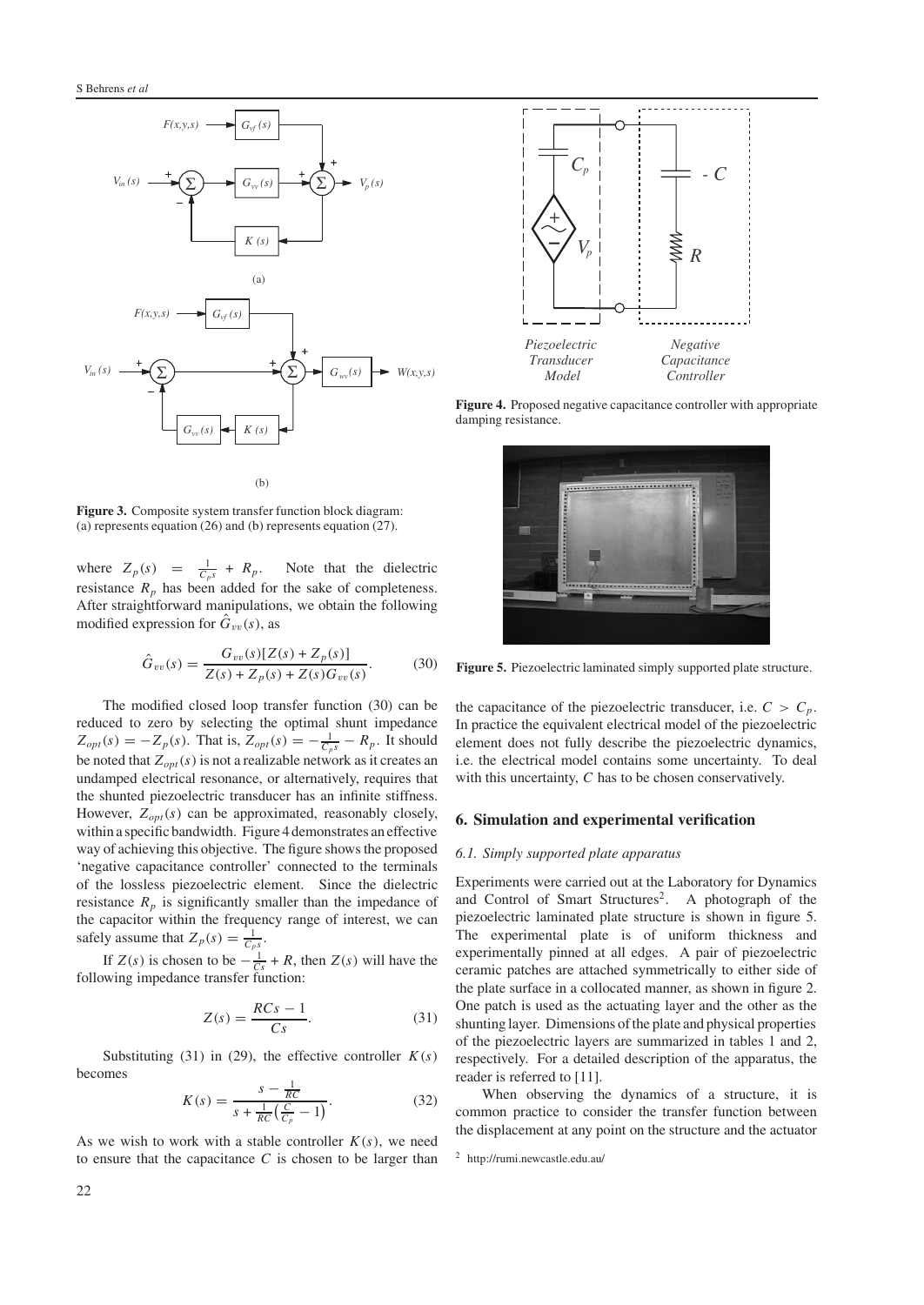



**Figure 3.** Composite system transfer function block diagram: (a) represents equation (26) and (b) represents equation (27).

where  $Z_p(s) = \frac{1}{C_p s} + R_p$ . Note that the dielectric resistance  $R_p$  has been added for the sake of completeness. After straightforward manipulations, we obtain the following modified expression for  $\hat{G}_{vv}(s)$ , as

$$
\hat{G}_{vv}(s) = \frac{G_{vv}(s)[Z(s) + Z_p(s)]}{Z(s) + Z_p(s) + Z(s)G_{vv}(s)}.
$$
(30)

The modified closed loop transfer function (30) can be reduced to zero by selecting the optimal shunt impedance  $Z_{opt}(s) = -Z_p(s)$ . That is,  $Z_{opt}(s) = -\frac{1}{C_p s} - R_p$ . It should be noted that  $Z_{opt}(s)$  is not a realizable network as it creates an undamped electrical resonance, or alternatively, requires that the shunted piezoelectric transducer has an infinite stiffness. However,  $Z_{opt}(s)$  can be approximated, reasonably closely, within a specific bandwidth. Figure 4 demonstrates an effective way of achieving this objective. The figure shows the proposed 'negative capacitance controller' connected to the terminals of the lossless piezoelectric element. Since the dielectric resistance  $R_p$  is significantly smaller than the impedance of the capacitor within the frequency range of interest, we can safely assume that  $Z_p(s) = \frac{1}{C_p s}$ .

If  $Z(s)$  is chosen to be  $-\frac{1}{Cs} + R$ , then  $Z(s)$  will have the following impedance transfer function:

$$
Z(s) = \frac{RCs - 1}{Cs}.\tag{31}
$$

Substituting (31) in (29), the effective controller  $K(s)$ becomes

$$
K(s) = \frac{s - \frac{1}{RC}}{s + \frac{1}{RC}(\frac{C}{C_p} - 1)}.
$$
 (32)

As we wish to work with a stable controller  $K(s)$ , we need to ensure that the capacitance *C* is chosen to be larger than



**Figure 4.** Proposed negative capacitance controller with appropriate damping resistance.



**Figure 5.** Piezoelectric laminated simply supported plate structure.

the capacitance of the piezoelectric transducer, i.e.  $C > C_p$ . In practice the equivalent electrical model of the piezoelectric element does not fully describe the piezoelectric dynamics, i.e. the electrical model contains some uncertainty. To deal with this uncertainty, *C* has to be chosen conservatively.

#### **6. Simulation and experimental verification**

#### *6.1. Simply supported plate apparatus*

Experiments were carried out at the Laboratory for Dynamics and Control of Smart Structures<sup>2</sup>. A photograph of the piezoelectric laminated plate structure is shown in figure 5. The experimental plate is of uniform thickness and experimentally pinned at all edges. A pair of piezoelectric ceramic patches are attached symmetrically to either side of the plate surface in a collocated manner, as shown in figure 2. One patch is used as the actuating layer and the other as the shunting layer. Dimensions of the plate and physical properties of the piezoelectric layers are summarized in tables 1 and 2, respectively. For a detailed description of the apparatus, the reader is referred to [11].

When observing the dynamics of a structure, it is common practice to consider the transfer function between the displacement at any point on the structure and the actuator

<sup>2</sup> http://rumi.newcastle.edu.au/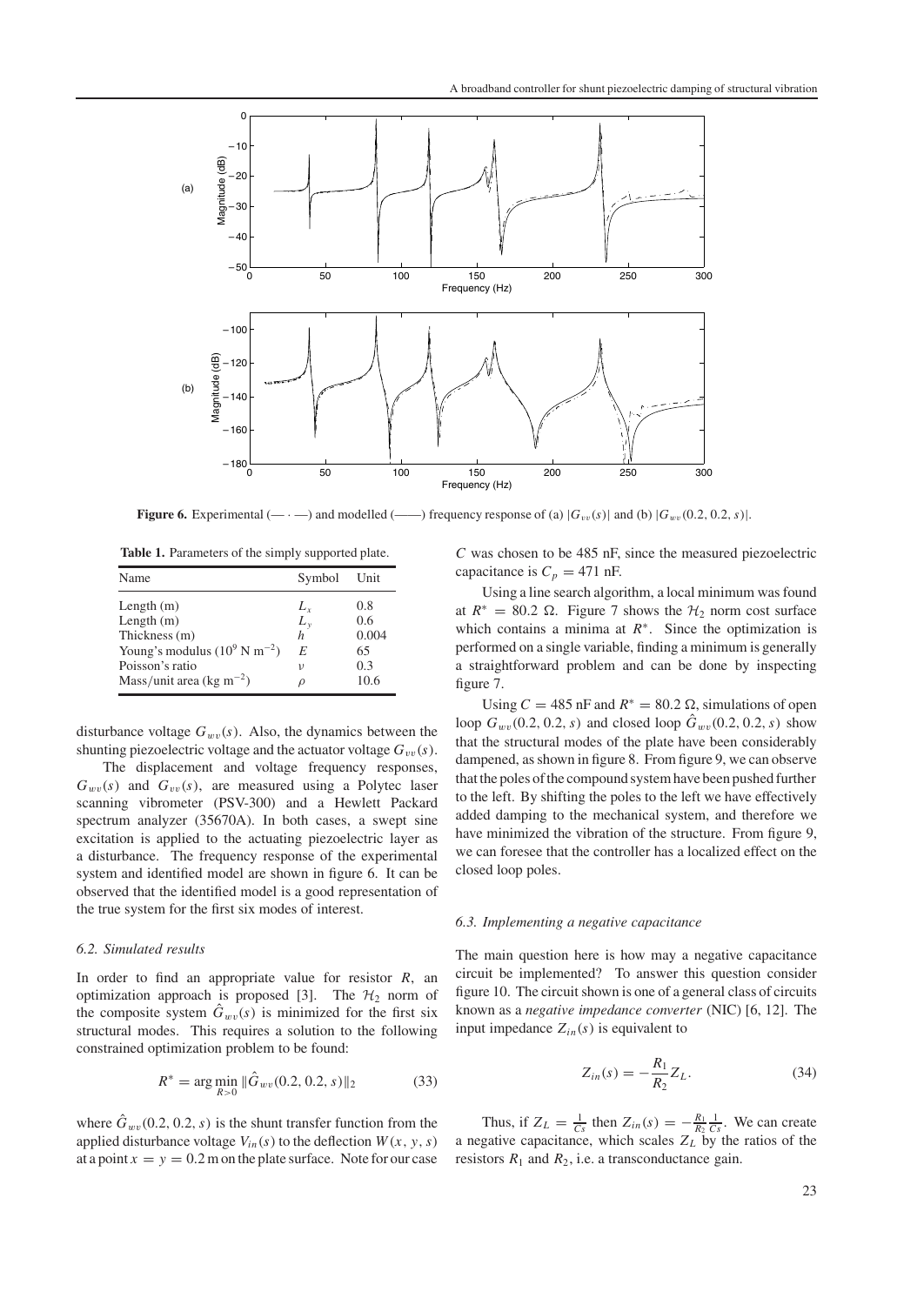

**Figure 6.** Experimental  $(- \cdot -)$  and modelled  $(\cdot - \cdot)$  frequency response of (a)  $|G_{vv}(s)|$  and (b)  $|G_{vv}(0.2, 0.2, s)|$ .

**Table 1.** Parameters of the simply supported plate.

| Name                                      | Symbol        | Unit  |
|-------------------------------------------|---------------|-------|
| Length $(m)$                              | $L_{r}$       | 0.8   |
| Length $(m)$                              | $L_{v}$       | 0.6   |
| Thickness (m)                             | h             | 0.004 |
| Young's modulus $(10^9 \text{ N m}^{-2})$ | E             | 65    |
| Poisson's ratio                           | $\mathcal{V}$ | 0.3   |
| Mass/unit area (kg m <sup>-2</sup> )      |               | 10.6  |

disturbance voltage  $G_{ww}(s)$ . Also, the dynamics between the shunting piezoelectric voltage and the actuator voltage  $G_{vv}(s)$ .

The displacement and voltage frequency responses,  $G_{wv}(s)$  and  $G_{vv}(s)$ , are measured using a Polytec laser scanning vibrometer (PSV-300) and a Hewlett Packard spectrum analyzer (35670A). In both cases, a swept sine excitation is applied to the actuating piezoelectric layer as a disturbance. The frequency response of the experimental system and identified model are shown in figure 6. It can be observed that the identified model is a good representation of the true system for the first six modes of interest.

#### *6.2. Simulated results*

In order to find an appropriate value for resistor *R*, an optimization approach is proposed [3]. The  $H_2$  norm of the composite system  $\hat{G}_{wv}(s)$  is minimized for the first six structural modes. This requires a solution to the following constrained optimization problem to be found:

$$
R^* = \arg\min_{R>0} \|\hat{G}_{wv}(0.2, 0.2, s)\|_2 \tag{33}
$$

where  $\hat{G}_{wv}(0.2, 0.2, s)$  is the shunt transfer function from the applied disturbance voltage  $V_{in}(s)$  to the deflection  $W(x, y, s)$ at a point  $x = y = 0.2$  m on the plate surface. Note for our case

*C* was chosen to be 485 nF, since the measured piezoelectric capacitance is  $C_p = 471$  nF.

Using a line search algorithm, a local minimum was found at  $R^* = 80.2 \Omega$ . Figure 7 shows the  $H_2$  norm cost surface which contains a minima at *R*<sup>∗</sup>. Since the optimization is performed on a single variable, finding a minimum is generally a straightforward problem and can be done by inspecting figure 7.

Using  $C = 485$  nF and  $R^* = 80.2 \Omega$ , simulations of open loop  $G_{wv}(0.2, 0.2, s)$  and closed loop  $\hat{G}_{wv}(0.2, 0.2, s)$  show that the structural modes of the plate have been considerably dampened, as shown in figure 8. From figure 9, we can observe that the poles of the compound system have been pushed further to the left. By shifting the poles to the left we have effectively added damping to the mechanical system, and therefore we have minimized the vibration of the structure. From figure 9, we can foresee that the controller has a localized effect on the closed loop poles.

#### *6.3. Implementing a negative capacitance*

The main question here is how may a negative capacitance circuit be implemented? To answer this question consider figure 10. The circuit shown is one of a general class of circuits known as a *negative impedance converter* (NIC) [6, 12]. The input impedance  $Z_{in}(s)$  is equivalent to

$$
Z_{in}(s) = -\frac{R_1}{R_2} Z_L.
$$
 (34)

Thus, if  $Z_L = \frac{1}{Cs}$  then  $Z_{in}(s) = -\frac{R_1}{R_2} \frac{1}{Cs}$ . We can create a negative capacitance, which scales  $Z_L$  by the ratios of the resistors  $R_1$  and  $R_2$ , i.e. a transconductance gain.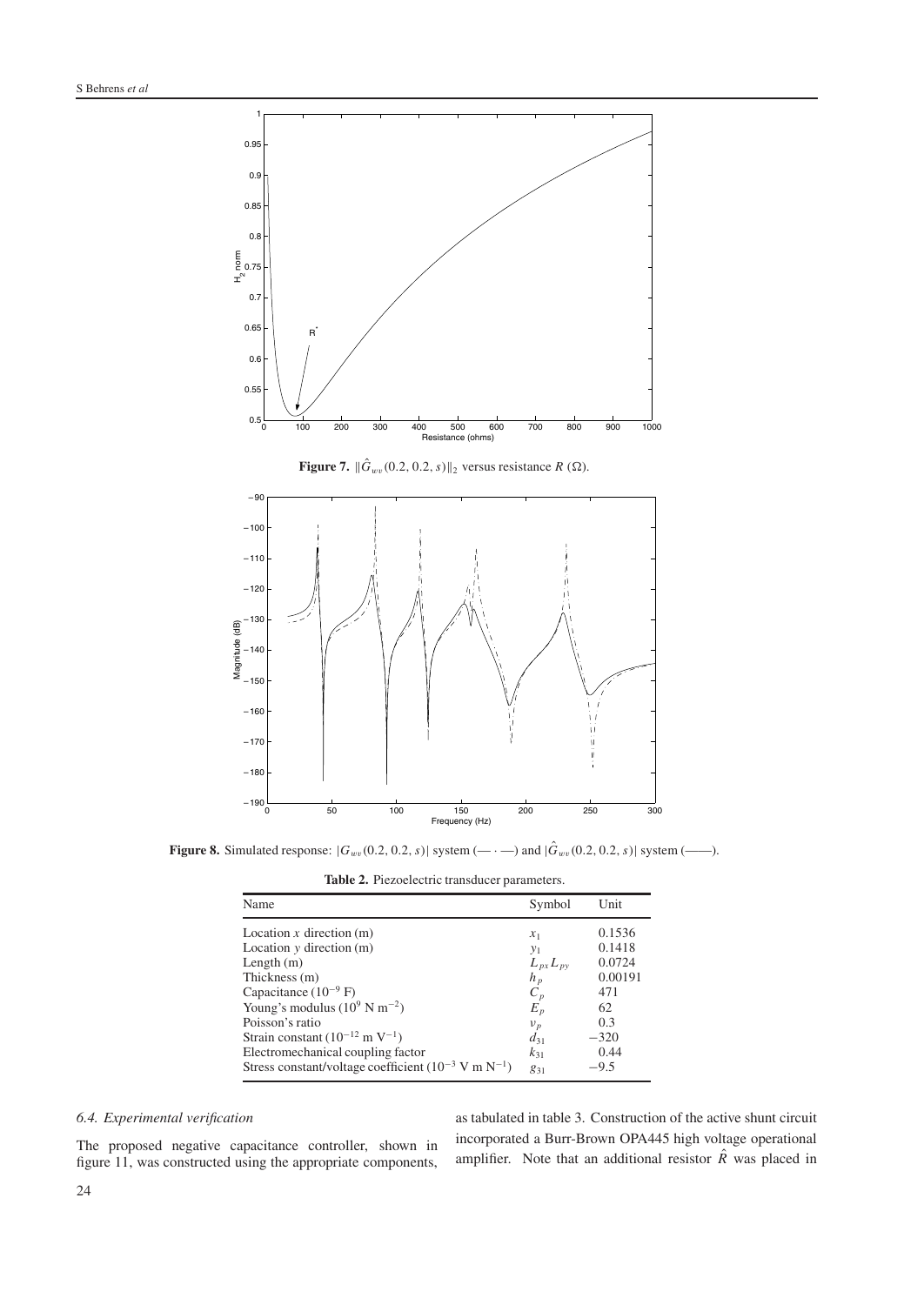

**Figure 7.**  $\|\hat{G}_{wv}(0.2, 0.2, s)\|_2$  versus resistance  $R(\Omega)$ .



**Figure 8.** Simulated response:  $|G_{ww}(0.2, 0.2, s)|$  system  $(- \cdot -)$  and  $|\hat{G}_{ww}(0.2, 0.2, s)|$  system  $(- \cdot -)$ .

**Table 2.** Piezoelectric transducer parameters.

| Name                                                                                                                                                                                                                                                                                                                                                     | Symbol                                                                                                       | Unit                                                                                  |
|----------------------------------------------------------------------------------------------------------------------------------------------------------------------------------------------------------------------------------------------------------------------------------------------------------------------------------------------------------|--------------------------------------------------------------------------------------------------------------|---------------------------------------------------------------------------------------|
| Location $x$ direction $(m)$<br>Location $y$ direction $(m)$<br>Length $(m)$<br>Thickness (m)<br>Capacitance $(10^{-9} F)$<br>Young's modulus $(10^9 \text{ N m}^{-2})$<br>Poisson's ratio<br>Strain constant $(10^{-12} \text{ m V}^{-1})$<br>Electromechanical coupling factor<br>Stress constant/voltage coefficient $(10^{-3}$ V m N <sup>-1</sup> ) | $x_1$<br>$y_1$<br>$L_{px}L_{py}$<br>$h_n$<br>$C_p$<br>$E_p^{'}$<br>$v_p$<br>$d_{31}$<br>$k_{31}$<br>$g_{31}$ | 0.1536<br>0.1418<br>0.0724<br>0.00191<br>471<br>62<br>0.3<br>$-320$<br>0.44<br>$-9.5$ |
|                                                                                                                                                                                                                                                                                                                                                          |                                                                                                              |                                                                                       |

## *6.4. Experimental verification*

The proposed negative capacitance controller, shown in figure 11, was constructed using the appropriate components,

as tabulated in table 3. Construction of the active shunt circuit incorporated a Burr-Brown OPA445 high voltage operational amplifier. Note that an additional resistor  $\hat{R}$ <sup>n</sup> was placed in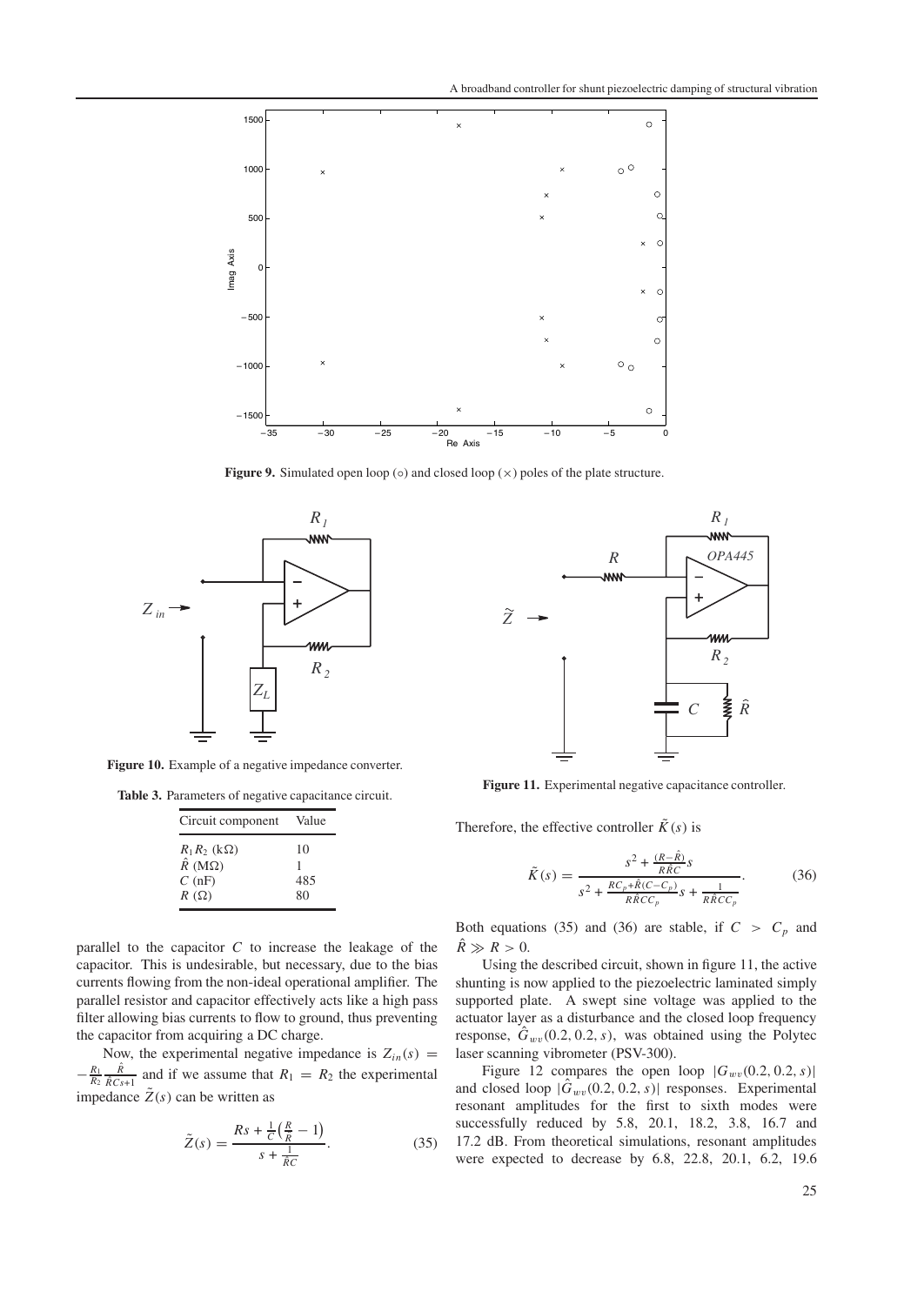

**Figure 9.** Simulated open loop (◦) and closed loop ( $\times$ ) poles of the plate structure.



**Figure 10.** Example of a negative impedance converter.

Table 3. Parameters of negative capacitance circuit.

| Circuit component                | Value |
|----------------------------------|-------|
| $R_1R_2$ (k $\Omega$ )           | 10    |
| $\hat{R}$ (M $\Omega$ )<br>C(nF) | 485   |
| $R(\Omega)$                      | 80    |

parallel to the capacitor *C* to increase the leakage of the capacitor. This is undesirable, but necessary, due to the bias currents flowing from the non-ideal operational amplifier. The parallel resistor and capacitor effectively acts like a high pass filter allowing bias currents to flow to ground, thus preventing the capacitor from acquiring a DC charge.

Now, the experimental negative impedance is  $Z_{in}(s)$  =  $-\frac{R_1}{R_2} \frac{\hat{R}}{\hat{R}Cs+1}$  and if we assume that  $R_1 = R_2$  the experimental impedance  $\tilde{Z}(s)$  can be written as

$$
\tilde{Z}(s) = \frac{Rs + \frac{1}{C}(\frac{R}{\hat{R}} - 1)}{s + \frac{1}{\hat{R}C}}.
$$
\n(35)



**Figure 11.** Experimental negative capacitance controller.

Therefore, the effective controller  $\tilde{K}(s)$  is

$$
\tilde{K}(s) = \frac{s^2 + \frac{(R - \hat{R})}{R\hat{R}C}s}{s^2 + \frac{RC_p + \hat{R}(C - C_p)}{R\hat{R}CC_p}s + \frac{1}{R\hat{R}CC_p}}.
$$
(36)

Both equations (35) and (36) are stable, if  $C > C_p$  and  $\hat{R}\gg R>0.$ 

Using the described circuit, shown in figure 11, the active shunting is now applied to the piezoelectric laminated simply supported plate. A swept sine voltage was applied to the actuator layer as a disturbance and the closed loop frequency response,  $\hat{G}_{wv}(0.2, 0.2, s)$ , was obtained using the Polytec laser scanning vibrometer (PSV-300).

Figure 12 compares the open loop  $|G_{wv}(0.2, 0.2, s)|$ and closed loop  $|\hat{G}_{wv}(0.2, 0.2, s)|$  responses. Experimental resonant amplitudes for the first to sixth modes were successfully reduced by 5.8, 20.1, 18.2, 3.8, 16.7 and 17.2 dB. From theoretical simulations, resonant amplitudes were expected to decrease by 6.8, 22.8, 20.1, 6.2, 19.6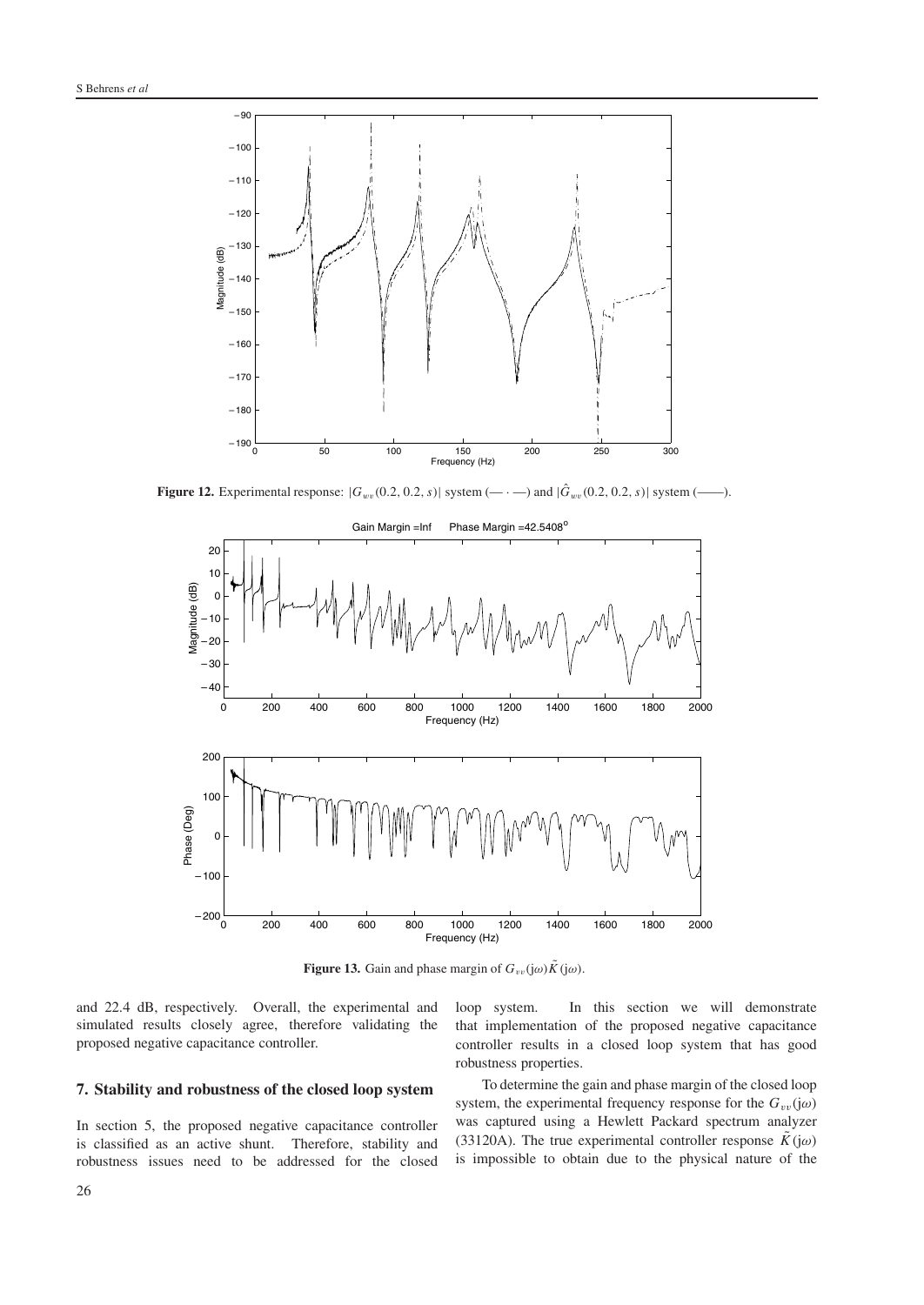

**Figure 12.** Experimental response:  $|G_{wv}(0.2, 0.2, s)|$  system  $(- \cdot -)$  and  $|\hat{G}_{wv}(0.2, 0.2, s)|$  system  $(- \cdot -)$ .



**Figure 13.** Gain and phase margin of  $G_{vv}(j\omega)\tilde{K}(j\omega)$ .

and 22.4 dB, respectively. Overall, the experimental and simulated results closely agree, therefore validating the proposed negative capacitance controller.

#### **7. Stability and robustness of the closed loop system**

In section 5, the proposed negative capacitance controller is classified as an active shunt. Therefore, stability and robustness issues need to be addressed for the closed

loop system. In this section we will demonstrate that implementation of the proposed negative capacitance controller results in a closed loop system that has good robustness properties.

To determine the gain and phase margin of the closed loop system, the experimental frequency response for the  $G_{vv}(j\omega)$ was captured using a Hewlett Packard spectrum analyzer (33120A). The true experimental controller response  $\tilde{K}(\mathfrak{j}\omega)$ is impossible to obtain due to the physical nature of the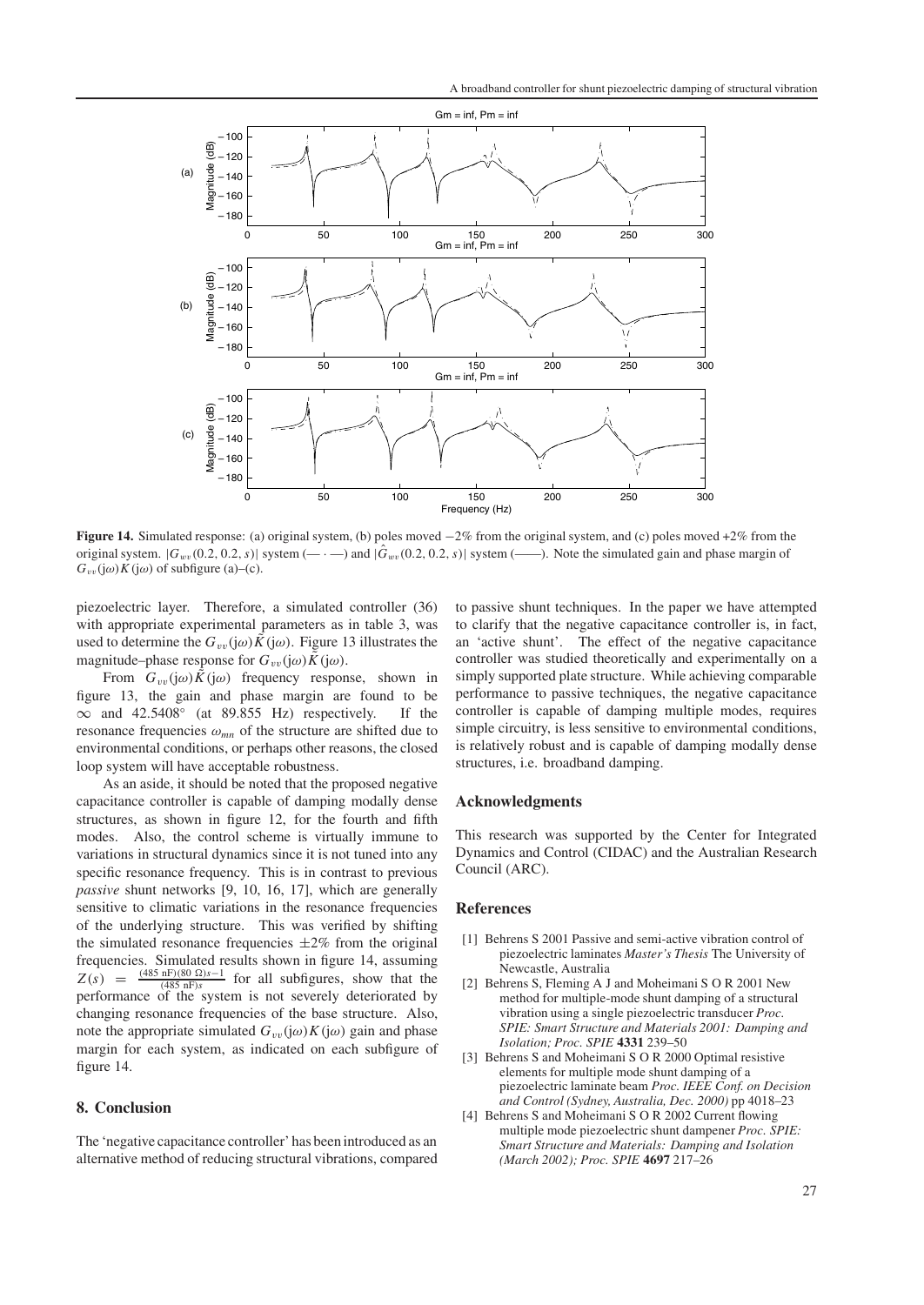

**Figure 14.** Simulated response: (a) original system, (b) poles moved −2% from the original system, and (c) poles moved +2% from the original system.  $|G_{wv}(0.2, 0.2, s)|$  system  $(-,-)$  and  $|\hat{G}_{wv}(0.2, 0.2, s)|$  system  $(-,-)$ . Note the simulated gain and phase margin of  $G_{vv}(j\omega)K(j\omega)$  of subfigure (a)–(c).

piezoelectric layer. Therefore, a simulated controller (36) with appropriate experimental parameters as in table 3, was used to determine the  $G_{vv}(j\omega)\tilde{K}(j\omega)$ . Figure 13 illustrates the magnitude–phase response for  $G_{vv}(j\omega)\tilde{K}(j\omega)$ .

From  $G_{vv}(j\omega)\tilde{K}(j\omega)$  frequency response, shown in figure 13, the gain and phase margin are found to be  $\infty$  and 42.5408° (at 89.855 Hz) respectively. If the resonance frequencies  $\omega_{mn}$  of the structure are shifted due to environmental conditions, or perhaps other reasons, the closed loop system will have acceptable robustness.

As an aside, it should be noted that the proposed negative capacitance controller is capable of damping modally dense structures, as shown in figure 12, for the fourth and fifth modes. Also, the control scheme is virtually immune to variations in structural dynamics since it is not tuned into any specific resonance frequency. This is in contrast to previous *passive* shunt networks [9, 10, 16, 17], which are generally sensitive to climatic variations in the resonance frequencies of the underlying structure. This was verified by shifting the simulated resonance frequencies  $\pm 2\%$  from the original frequencies. Simulated results shown in figure 14, assuming  $Z(s) = \frac{(485 \text{ nF})(80 \Omega)s-1}{(485 \text{ nF})s}$  for all subfigures, show that the performance of the system is not severely deteriorated by changing resonance frequencies of the base structure. Also, note the appropriate simulated  $G_{vv}(j\omega)K(j\omega)$  gain and phase margin for each system, as indicated on each subfigure of figure 14.

#### **8. Conclusion**

The 'negative capacitance controller' has been introduced as an alternative method of reducing structural vibrations, compared

to passive shunt techniques. In the paper we have attempted to clarify that the negative capacitance controller is, in fact, an 'active shunt'. The effect of the negative capacitance controller was studied theoretically and experimentally on a simply supported plate structure. While achieving comparable performance to passive techniques, the negative capacitance controller is capable of damping multiple modes, requires simple circuitry, is less sensitive to environmental conditions, is relatively robust and is capable of damping modally dense structures, i.e. broadband damping.

#### **Acknowledgments**

This research was supported by the Center for Integrated Dynamics and Control (CIDAC) and the Australian Research Council (ARC).

#### **References**

- [1] Behrens S 2001 Passive and semi-active vibration control of piezoelectric laminates *Master's Thesis* The University of Newcastle, Australia
- [2] Behrens S, Fleming A J and Moheimani S O R 2001 New method for multiple-mode shunt damping of a structural vibration using a single piezoelectric transducer *Proc. SPIE: Smart Structure and Materials 2001: Damping and Isolation; Proc. SPIE* **4331** 239–50
- [3] Behrens S and Moheimani S O R 2000 Optimal resistive elements for multiple mode shunt damping of a piezoelectric laminate beam *Proc. IEEE Conf. on Decision and Control (Sydney, Australia, Dec. 2000)* pp 4018–23
- [4] Behrens S and Moheimani S O R 2002 Current flowing multiple mode piezoelectric shunt dampener *Proc. SPIE: Smart Structure and Materials: Damping and Isolation (March 2002); Proc. SPIE* **4697** 217–26